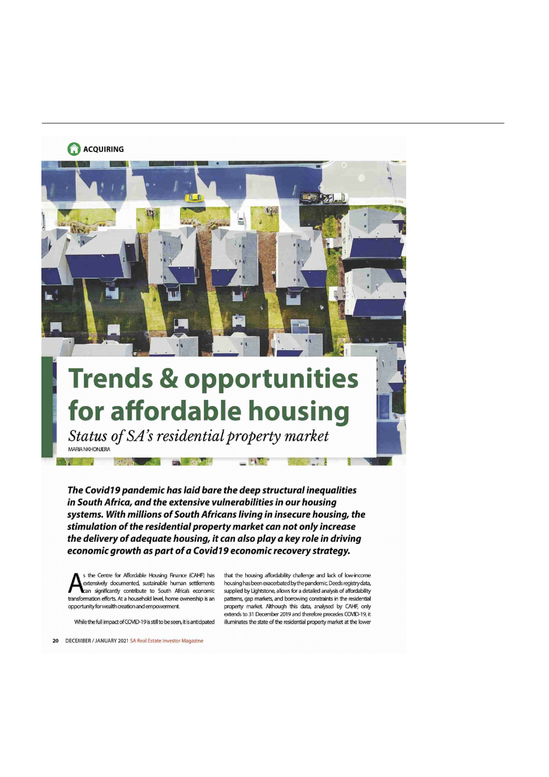### **ACQUIRING**



# for affordable housing

Status of SA's residential property market MARIA NKHONJERA  $-$ <sup>m</sup>

. <sup>r</sup> <sup>A</sup> ,

The Covid19 pandemic has laid bare the deep structural inequalities in South Africa, and the extensive vulnerabilities in our housing systems. With millions of South Africans living in insecure housing, the stimulation of the residential property market can not only increase the delivery of adequate housing, it can also play a key role in driving economic growth as part of a Covid19 economic recovery strategy.

s the Centre for Affordable Housing Finance (CAHF) has that the housing affordability challenge and lack of low-income<br>extensively documented, sustainable human settlements housing has been exacerbated by the pandemic. Dee transformation efforts. At a household level, home ownership is an<br>opportunity for wealth creation and empowerment.

extensively documented, sustainable human settlements housing has been exacerbated bythe pandemic Deeds registry data,<br>Lean significantly contribute to South Africa's economic supplied by Lightstone, allows for a detailed supplied by Lightstone, allows for a detailed analysis of affordability<br>patterns, gap markets, and borrowing constraints in the residential property market. Although this data, analysed by CAHF, only extends to 31 December 2019 and therefore precedes COVID-19, it While the full impact of COVID-19 is still to be seen, it is anticipated illuminates the state of the residential property market at the lower

**B' s was writer** .nr: